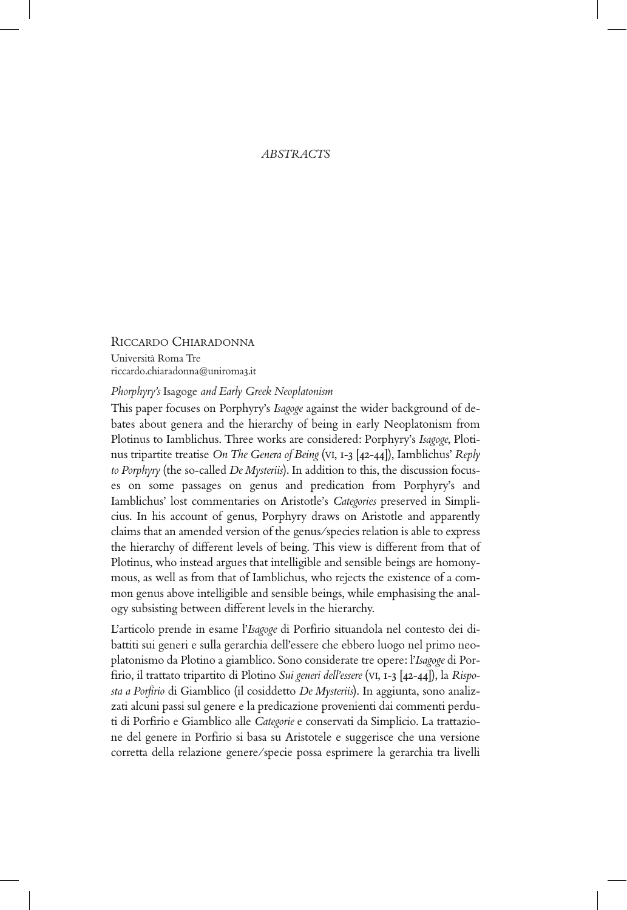## *ABSTRACTS*

# RICCARDO CHIARADONNA

Università Roma Tre riccardo.chiaradonna@uniroma3.it

#### *Phorphyry's* Isagoge *and Early Greek Neoplatonism*

This paper focuses on Porphyry's *Isagoge* against the wider background of debates about genera and the hierarchy of being in early Neoplatonism from Plotinus to Iamblichus. Three works are considered: Porphyry's *Isagoge*, Plotinus tripartite treatise *On The Genera of Being* (VI, 1-3 [42-44]), Iamblichus' *Reply to Porphyry* (the so-called *De Mysteriis*). In addition to this, the discussion focuses on some passages on genus and predication from Porphyry's and Iamblichus' lost commentaries on Aristotle's *Categories* preserved in Simplicius. In his account of genus, Porphyry draws on Aristotle and apparently claims that an amended version of the genus/species relation is able to express the hierarchy of different levels of being. This view is different from that of Plotinus, who instead argues that intelligible and sensible beings are homonymous, as well as from that of Iamblichus, who rejects the existence of a common genus above intelligible and sensible beings, while emphasising the analogy subsisting between different levels in the hierarchy.

L'articolo prende in esame l'*Isagoge* di Porfirio situandola nel contesto dei dibattiti sui generi e sulla gerarchia dell'essere che ebbero luogo nel primo neoplatonismo da Plotino a giamblico. Sono considerate tre opere: l'*Isagoge* di Porfirio, il trattato tripartito di Plotino *Sui generi dell'essere* (VI, 1-3 [42-44]), la *Risposta a Porfirio* di Giamblico (il cosiddetto *De Mysteriis*). In aggiunta, sono analizzati alcuni passi sul genere e la predicazione provenienti dai commenti perduti di Porfirio e Giamblico alle *Categorie* e conservati da Simplicio. La trattazione del genere in Porfirio si basa su Aristotele e suggerisce che una versione corretta della relazione genere/specie possa esprimere la gerarchia tra livelli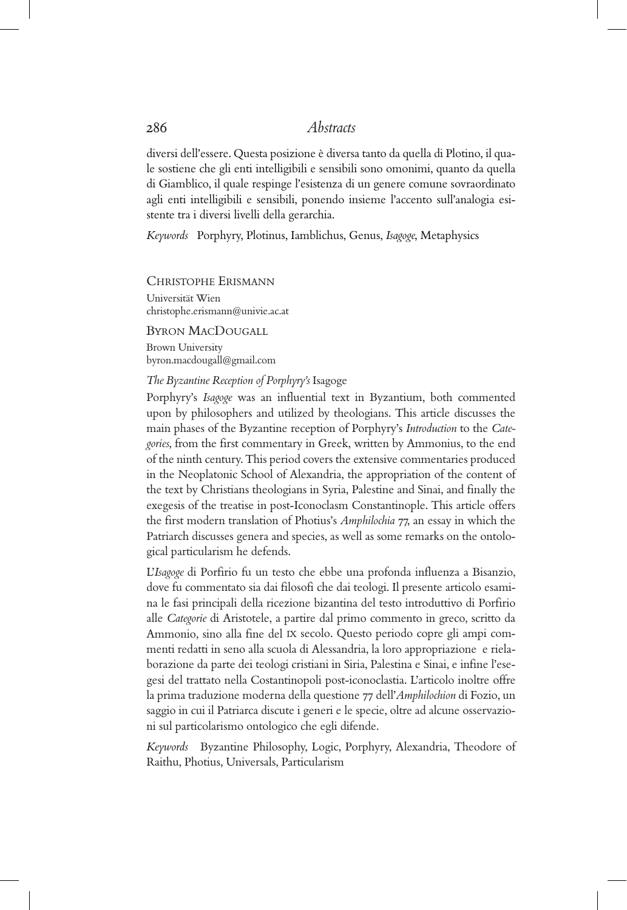diversi dell'essere. Questa posizione è diversa tanto da quella di Plotino, il quale sostiene che gli enti intelligibili e sensibili sono omonimi, quanto da quella di Giamblico, il quale respinge l'esistenza di un genere comune sovraordinato agli enti intelligibili e sensibili, ponendo insieme l'accento sull'analogia esistente tra i diversi livelli della gerarchia.

*Keywords* Porphyry, Plotinus, Iamblichus, Genus, *Isagoge*, Metaphysics

CHRISTOPHE ERISMANN

Universität Wien christophe.erismann@univie.ac.at

## BYRON MACDOUGALL

Brown University byron.macdougall@gmail.com

### *The Byzantine Reception of Porphyry's* Isagoge

Porphyry's *Isagoge* was an influential text in Byzantium, both commented upon by philosophers and utilized by theologians. This article discusses the main phases of the Byzantine reception of Porphyry's *Introduction* to the *Categories*, from the first commentary in Greek, written by Ammonius, to the end of the ninth century. This period covers the extensive commentaries produced in the Neoplatonic School of Alexandria, the appropriation of the content of the text by Christians theologians in Syria, Palestine and Sinai, and finally the exegesis of the treatise in post-Iconoclasm Constantinople. This article offers the first modern translation of Photius's *Amphilochia* 77, an essay in which the Patriarch discusses genera and species, as well as some remarks on the ontological particularism he defends.

L'*Isagoge* di Porfirio fu un testo che ebbe una profonda influenza a Bisanzio, dove fu commentato sia dai filosofi che dai teologi. Il presente articolo esamina le fasi principali della ricezione bizantina del testo introduttivo di Porfirio alle *Categorie* di Aristotele, a partire dal primo commento in greco, scritto da Ammonio, sino alla fine del IX secolo. Questo periodo copre gli ampi commenti redatti in seno alla scuola di Alessandria, la loro appropriazione e rielaborazione da parte dei teologi cristiani in Siria, Palestina e Sinai, e infine l'esegesi del trattato nella Costantinopoli post-iconoclastia. L'articolo inoltre offre la prima traduzione moderna della questione 77 dell'*Amphilochion* di Fozio, un saggio in cui il Patriarca discute i generi e le specie, oltre ad alcune osservazioni sul particolarismo ontologico che egli difende.

*Keywords* Byzantine Philosophy, Logic, Porphyry, Alexandria, Theodore of Raithu, Photius, Universals, Particularism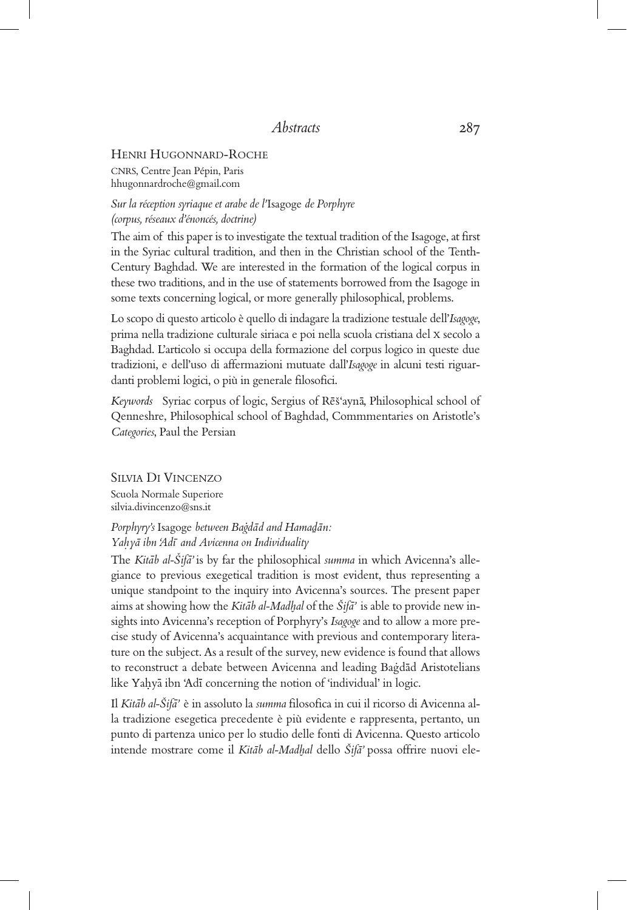## HENRI HUGONNARD-ROCHE

CNRS, Centre Jean Pépin, Paris hhugonnardroche@gmail.com

*Sur la réception syriaque et arabe de l'*Isagoge *de Porphyre (corpus, réseaux d'énoncés, doctrine)*

The aim of this paper is to investigate the textual tradition of the Isagoge, at first in the Syriac cultural tradition, and then in the Christian school of the Tenth-Century Baghdad. We are interested in the formation of the logical corpus in these two traditions, and in the use of statements borrowed from the Isagoge in some texts concerning logical, or more generally philosophical, problems.

Lo scopo di questo articolo è quello di indagare la tradizione testuale dell'*Isagoge*, prima nella tradizione culturale siriaca e poi nella scuola cristiana del X secolo a Baghdad. L'articolo si occupa della formazione del corpus logico in queste due tradizioni, e dell'uso di affermazioni mutuate dall'*Isagoge* in alcuni testi riguardanti problemi logici, o più in generale filosofici.

Keywords Syriac corpus of logic, Sergius of Rēš<sup>4</sup>aynā, Philosophical school of Qenneshre, Philosophical school of Baghdad, Commmentaries on Aristotle's *Categories*, Paul the Persian

SILVIA DI VINCENZO Scuola Normale Superiore silvia.divincenzo@sns.it

# *Porphyry's* Isagoge *between Bagdād and Hama<u>d</u>ān: Yah. ya- ibn 'Adı- and Avicenna on Individuality*

The *Kitāb al-Šifā*' is by far the philosophical *summa* in which Avicenna's allegiance to previous exegetical tradition is most evident, thus representing a unique standpoint to the inquiry into Avicenna's sources. The present paper aims at showing how the *Kitāb al-Madhal* of the Šifā<sup>,</sup> is able to provide new insights into Avicenna's reception of Porphyry's *Isagoge* and to allow a more precise study of Avicenna's acquaintance with previous and contemporary literature on the subject. As a result of the survey, new evidence is found that allows to reconstruct a debate between Avicenna and leading Baġdād Aristotelians like Yahyā ibn 'Adī concerning the notion of 'individual' in logic.

Il *Kitāb al-Šifā'* è in assoluto la *summa* filosofica in cui il ricorso di Avicenna alla tradizione esegetica precedente è più evidente e rappresenta, pertanto, un punto di partenza unico per lo studio delle fonti di Avicenna. Questo articolo .<br>intende mostrare come il *Kitāb al-Madhal* dello *Šifā*' possa offrire nuovi ele-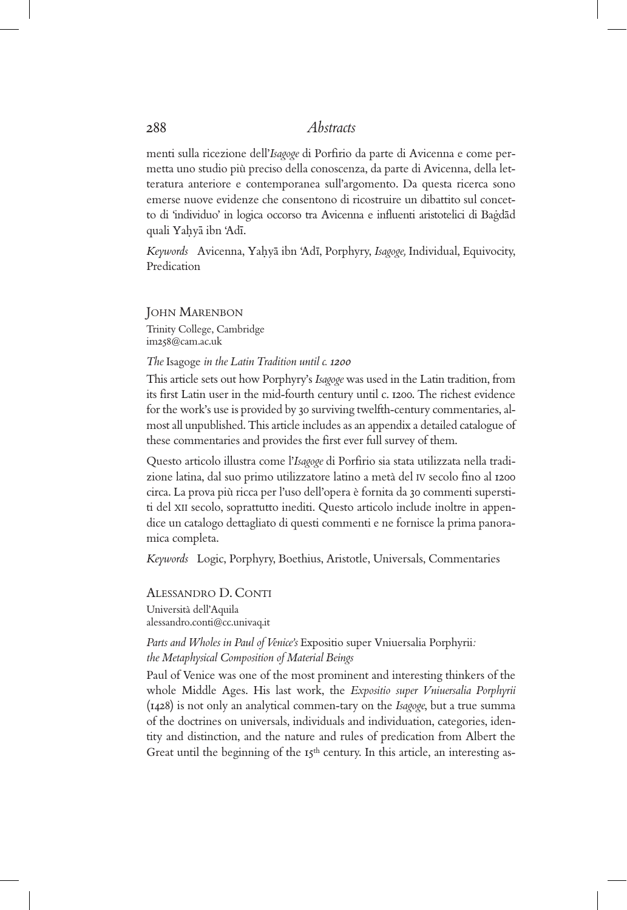menti sulla ricezione dell'*Isagoge* di Porfirio da parte di Avicenna e come permetta uno studio più preciso della conoscenza, da parte di Avicenna, della letteratura anteriore e contemporanea sull'argomento. Da questa ricerca sono emerse nuove evidenze che consentono di ricostruire un dibattito sul concetto di 'individuo' in logica occorso tra Avicenna e influenti aristotelici di Bagdad quali Yaḥyā ibn 'Adī<mark>.</mark>

Keywords Avicenna, Yahyā ibn 'Adī, Porphyry, *Isagoge*, Individual, Equivocity, Predication

JOHN MARENBON Trinity College, Cambridge im258@cam.ac.uk

#### *The* Isagoge *in the Latin Tradition until c. 1200*

This article sets out how Porphyry's *Isagoge* was used in the Latin tradition, from its first Latin user in the mid-fourth century until c. 1200. The richest evidence for the work's use is provided by 30 surviving twelfth-century commentaries, almost all unpublished. This article includes as an appendix a detailed catalogue of these commentaries and provides the first ever full survey of them.

Questo articolo illustra come l'*Isagoge* di Porfirio sia stata utilizzata nella tradizione latina, dal suo primo utilizzatore latino a metà del IV secolo fino al 1200 circa. La prova più ricca per l'uso dell'opera è fornita da 30 commenti superstiti del XII secolo, soprattutto inediti. Questo articolo include inoltre in appendice un catalogo dettagliato di questi commenti e ne fornisce la prima panoramica completa.

*Keywords* Logic, Porphyry, Boethius, Aristotle, Universals, Commentaries

ALESSANDRO D. CONTI Università dell'Aquila alessandro.conti@cc.univaq.it

*Parts and Wholes in Paul of Venice's* Expositio super Vniuersalia Porphyrii*: the Metaphysical Composition of Material Beings*

Paul of Venice was one of the most prominent and interesting thinkers of the whole Middle Ages. His last work, the *Expositio super Vniuersalia Porphyrii* (1428) is not only an analytical commen-tary on the *Isagoge*, but a true summa of the doctrines on universals, individuals and individuation, categories, identity and distinction, and the nature and rules of predication from Albert the Great until the beginning of the 15<sup>th</sup> century. In this article, an interesting as-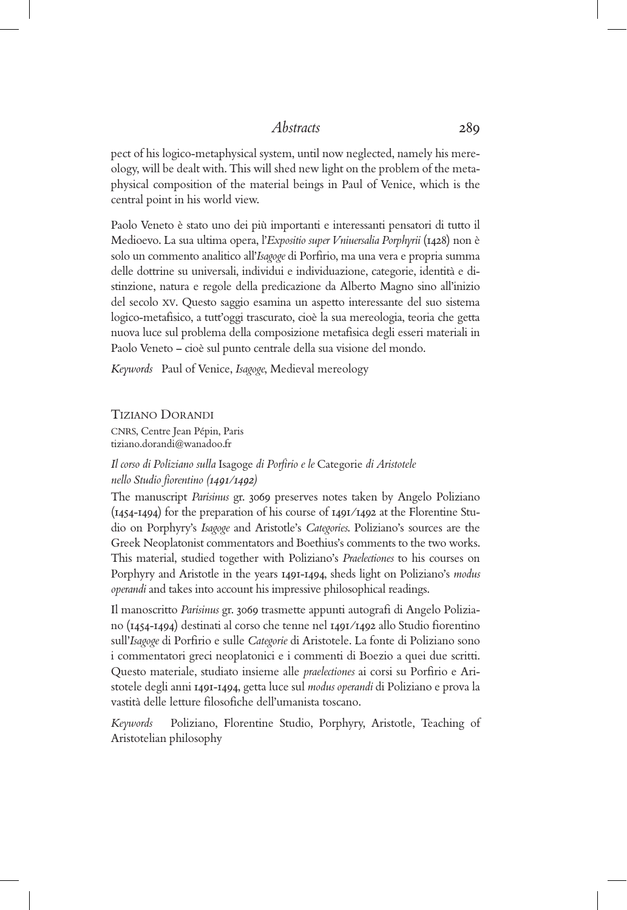pect of his logico-metaphysical system, until now neglected, namely his mereology, will be dealt with. This will shed new light on the problem of the metaphysical composition of the material beings in Paul of Venice, which is the central point in his world view.

Paolo Veneto è stato uno dei più importanti e interessanti pensatori di tutto il Medioevo. La sua ultima opera, l'*Expositio super Vniuersalia Porphyrii* (1428) non è solo un commento analitico all'*Isagoge* di Porfirio, ma una vera e propria summa delle dottrine su universali, individui e individuazione, categorie, identità e distinzione, natura e regole della predicazione da Alberto Magno sino all'inizio del secolo XV. Questo saggio esamina un aspetto interessante del suo sistema logico-metafisico, a tutt'oggi trascurato, cioè la sua mereologia, teoria che getta nuova luce sul problema della composizione metafisica degli esseri materiali in Paolo Veneto – cioè sul punto centrale della sua visione del mondo.

*Keywords* Paul of Venice, *Isagoge*, Medieval mereology

## TIZIANO DORANDI

CNRS, Centre Jean Pépin, Paris tiziano.dorandi@wanadoo.fr

# *Il corso di Poliziano sulla* Isagoge *di Porfirio e le* Categorie *di Aristotele nello Studio fiorentino (1491/1492)*

The manuscript *Parisinus* gr. 3069 preserves notes taken by Angelo Poliziano (1454-1494) for the preparation of his course of 1491/1492 at the Florentine Studio on Porphyry's *Isagoge* and Aristotle's *Categories*. Poliziano's sources are the Greek Neoplatonist commentators and Boethius's comments to the two works. This material, studied together with Poliziano's *Praelectiones* to his courses on Porphyry and Aristotle in the years 1491-1494, sheds light on Poliziano's *modus operandi* and takes into account his impressive philosophical readings.

Il manoscritto *Parisinus* gr. 3069 trasmette appunti autografi di Angelo Poliziano (1454-1494) destinati al corso che tenne nel 1491/1492 allo Studio fiorentino sull'*Isagoge* di Porfirio e sulle *Categorie* di Aristotele. La fonte di Poliziano sono i commentatori greci neoplatonici e i commenti di Boezio a quei due scritti. Questo materiale, studiato insieme alle *praelectiones* ai corsi su Porfirio e Aristotele degli anni 1491-1494, getta luce sul *modus operandi* di Poliziano e prova la vastità delle letture filosofiche dell'umanista toscano.

*Keywords* Poliziano, Florentine Studio, Porphyry, Aristotle, Teaching of Aristotelian philosophy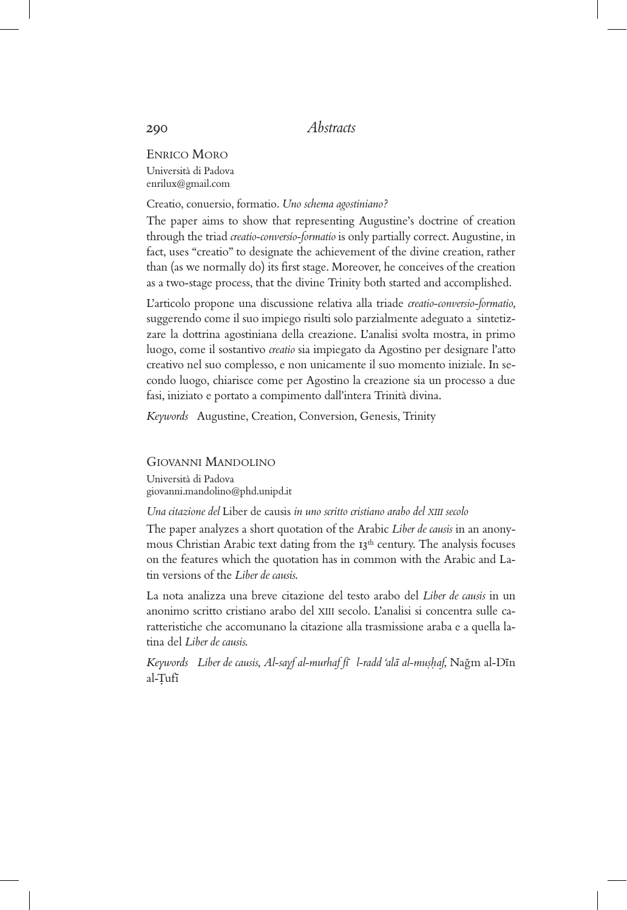ENRICO MORO Università di Padova enrilux@gmail.com

Creatio, conuersio, formatio. *Uno schema agostiniano?*

The paper aims to show that representing Augustine's doctrine of creation through the triad *creatio-conversio-formatio* is only partially correct. Augustine, in fact, uses "creatio" to designate the achievement of the divine creation, rather than (as we normally do) its first stage. Moreover, he conceives of the creation as a two-stage process, that the divine Trinity both started and accomplished.

L'articolo propone una discussione relativa alla triade *creatio-conversio-formatio*, suggerendo come il suo impiego risulti solo parzialmente adeguato a sintetizzare la dottrina agostiniana della creazione. L'analisi svolta mostra, in primo luogo, come il sostantivo *creatio* sia impiegato da Agostino per designare l'atto creativo nel suo complesso, e non unicamente il suo momento iniziale. In secondo luogo, chiarisce come per Agostino la creazione sia un processo a due fasi, iniziato e portato a compimento dall'intera Trinità divina.

*Keywords* Augustine, Creation, Conversion, Genesis, Trinity

GIOVANNI MANDOLINO Università di Padova giovanni.mandolino@phd.unipd.it

*Una citazione del* Liber de causis *in uno scritto cristiano arabo del XIII secolo*

The paper analyzes a short quotation of the Arabic *Liber de causis* in an anonymous Christian Arabic text dating from the 13th century. The analysis focuses on the features which the quotation has in common with the Arabic and Latin versions of the *Liber de causis*.

La nota analizza una breve citazione del testo arabo del *Liber de causis* in un anonimo scritto cristiano arabo del XIII secolo. L'analisi si concentra sulle caratteristiche che accomunano la citazione alla trasmissione araba e a quella latina del *Liber de causis*.

*Keywords Liber de causis*, *Al-sayf al-murhaf fı- l-radd 'ala- al-mus.h. af*, Nagˇm al-Dı-n al-Tufi